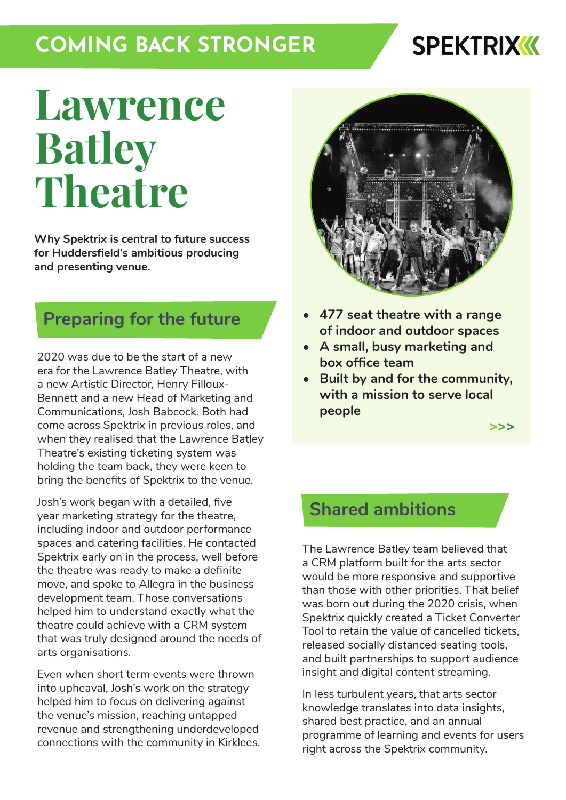# **COMING BACK STRONGER**

# **SPEKTRIXKK**

# **Lawrence Batley Theatre**

**Why Spektrix is central to future success for Huddersfield's ambitious producing and presenting venue.**

#### **Preparing for the future**

2020 was due to be the start of a new era for the Lawrence Batley Theatre, with a new Artistic Director, Henry Filloux-Bennett and a new Head of Marketing and Communications, Josh Babcock. Both had come across Spektrix in previous roles, and when they realised that the Lawrence Batley Theatre's existing ticketing system was holding the team back, they were keen to bring the benefits of Spektrix to the venue.

Josh's work began with a detailed, five year marketing strategy for the theatre, including indoor and outdoor performance spaces and catering facilities. He contacted Spektrix early on in the process, well before the theatre was ready to make a definite move, and spoke to Allegra in the business development team. Those conversations helped him to understand exactly what the theatre could achieve with a CRM system that was truly designed around the needs of arts organisations.

Even when short term events were thrown into upheaval, Josh's work on the strategy helped him to focus on delivering against the venue's mission, reaching untapped revenue and strengthening underdeveloped connections with the community in Kirklees.



- **• 477 seat theatre with a range of indoor and outdoor spaces**
- **• A small, busy marketing and box office team**
- **• Built by and for the community, with a mission to serve local people**

**[>>>](https://www.thelbt.org/)**

#### **Shared ambitions**

The Lawrence Batley team believed that a CRM platform built for the arts sector would be more responsive and supportive than those with other priorities. That belief was born out during the 2020 crisis, when Spektrix quickly created a Ticket Converter Tool to retain the value of cancelled tickets, released socially distanced seating tools, and built partnerships to support audience insight and digital content streaming.

In less turbulent years, that arts sector knowledge translates into data insights, shared best practice, and an annual programme of learning and events for users right across the Spektrix community.